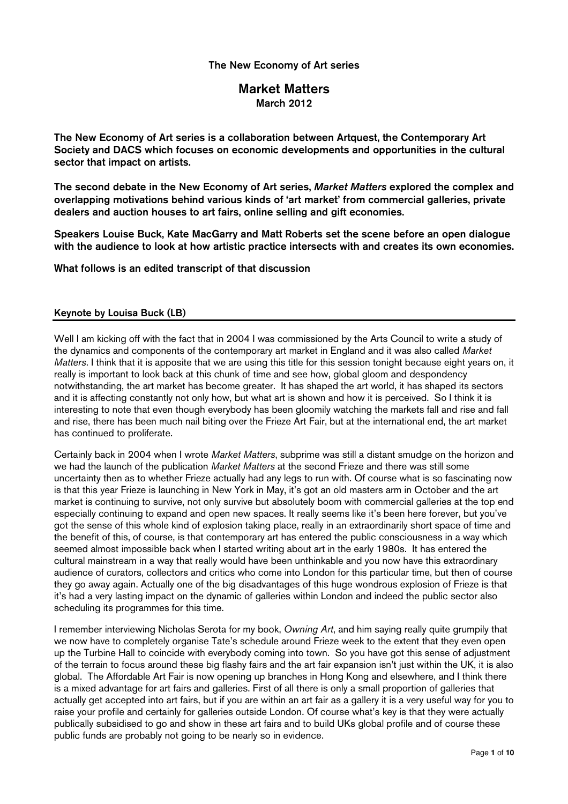# Market Matters March 2012

The New Economy of Art series is a collaboration between Artquest, the Contemporary Art Society and DACS which focuses on economic developments and opportunities in the cultural sector that impact on artists.

The second debate in the New Economy of Art series, Market Matters explored the complex and overlapping motivations behind various kinds of 'art market' from commercial galleries, private dealers and auction houses to art fairs, online selling and gift economies.

Speakers Louise Buck, Kate MacGarry and Matt Roberts set the scene before an open dialogue with the audience to look at how artistic practice intersects with and creates its own economies.

What follows is an edited transcript of that discussion

#### Keynote by Louisa Buck (LB)

Well I am kicking off with the fact that in 2004 I was commissioned by the Arts Council to write a study of the dynamics and components of the contemporary art market in England and it was also called Market Matters. I think that it is apposite that we are using this title for this session tonight because eight years on, it really is important to look back at this chunk of time and see how, global gloom and despondency notwithstanding, the art market has become greater. It has shaped the art world, it has shaped its sectors and it is affecting constantly not only how, but what art is shown and how it is perceived. So I think it is interesting to note that even though everybody has been gloomily watching the markets fall and rise and fall and rise, there has been much nail biting over the Frieze Art Fair, but at the international end, the art market has continued to proliferate.

Certainly back in 2004 when I wrote Market Matters, subprime was still a distant smudge on the horizon and we had the launch of the publication *Market Matters* at the second Frieze and there was still some uncertainty then as to whether Frieze actually had any legs to run with. Of course what is so fascinating now is that this year Frieze is launching in New York in May, it's got an old masters arm in October and the art market is continuing to survive, not only survive but absolutely boom with commercial galleries at the top end especially continuing to expand and open new spaces. It really seems like it's been here forever, but you've got the sense of this whole kind of explosion taking place, really in an extraordinarily short space of time and the benefit of this, of course, is that contemporary art has entered the public consciousness in a way which seemed almost impossible back when I started writing about art in the early 1980s. It has entered the cultural mainstream in a way that really would have been unthinkable and you now have this extraordinary audience of curators, collectors and critics who come into London for this particular time, but then of course they go away again. Actually one of the big disadvantages of this huge wondrous explosion of Frieze is that it's had a very lasting impact on the dynamic of galleries within London and indeed the public sector also scheduling its programmes for this time.

I remember interviewing Nicholas Serota for my book, Owning Art, and him saying really quite grumpily that we now have to completely organise Tate's schedule around Frieze week to the extent that they even open up the Turbine Hall to coincide with everybody coming into town. So you have got this sense of adjustment of the terrain to focus around these big flashy fairs and the art fair expansion isn't just within the UK, it is also global. The Affordable Art Fair is now opening up branches in Hong Kong and elsewhere, and I think there is a mixed advantage for art fairs and galleries. First of all there is only a small proportion of galleries that actually get accepted into art fairs, but if you are within an art fair as a gallery it is a very useful way for you to raise your profile and certainly for galleries outside London. Of course what's key is that they were actually publically subsidised to go and show in these art fairs and to build UKs global profile and of course these public funds are probably not going to be nearly so in evidence.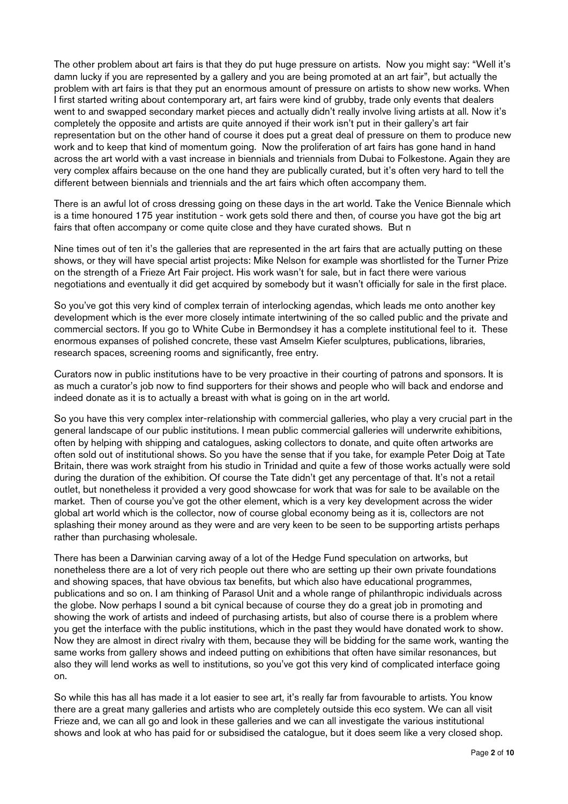The other problem about art fairs is that they do put huge pressure on artists. Now you might say: "Well it's damn lucky if you are represented by a gallery and you are being promoted at an art fair", but actually the problem with art fairs is that they put an enormous amount of pressure on artists to show new works. When I first started writing about contemporary art, art fairs were kind of grubby, trade only events that dealers went to and swapped secondary market pieces and actually didn't really involve living artists at all. Now it's completely the opposite and artists are quite annoyed if their work isn't put in their gallery's art fair representation but on the other hand of course it does put a great deal of pressure on them to produce new work and to keep that kind of momentum going. Now the proliferation of art fairs has gone hand in hand across the art world with a vast increase in biennials and triennials from Dubai to Folkestone. Again they are very complex affairs because on the one hand they are publically curated, but it's often very hard to tell the different between biennials and triennials and the art fairs which often accompany them.

There is an awful lot of cross dressing going on these days in the art world. Take the Venice Biennale which is a time honoured 175 year institution - work gets sold there and then, of course you have got the big art fairs that often accompany or come quite close and they have curated shows. But n

Nine times out of ten it's the galleries that are represented in the art fairs that are actually putting on these shows, or they will have special artist projects: Mike Nelson for example was shortlisted for the Turner Prize on the strength of a Frieze Art Fair project. His work wasn't for sale, but in fact there were various negotiations and eventually it did get acquired by somebody but it wasn't officially for sale in the first place.

So you've got this very kind of complex terrain of interlocking agendas, which leads me onto another key development which is the ever more closely intimate intertwining of the so called public and the private and commercial sectors. If you go to White Cube in Bermondsey it has a complete institutional feel to it. These enormous expanses of polished concrete, these vast Amselm Kiefer sculptures, publications, libraries, research spaces, screening rooms and significantly, free entry.

Curators now in public institutions have to be very proactive in their courting of patrons and sponsors. It is as much a curator's job now to find supporters for their shows and people who will back and endorse and indeed donate as it is to actually a breast with what is going on in the art world.

So you have this very complex inter-relationship with commercial galleries, who play a very crucial part in the general landscape of our public institutions. I mean public commercial galleries will underwrite exhibitions, often by helping with shipping and catalogues, asking collectors to donate, and quite often artworks are often sold out of institutional shows. So you have the sense that if you take, for example Peter Doig at Tate Britain, there was work straight from his studio in Trinidad and quite a few of those works actually were sold during the duration of the exhibition. Of course the Tate didn't get any percentage of that. It's not a retail outlet, but nonetheless it provided a very good showcase for work that was for sale to be available on the market. Then of course you've got the other element, which is a very key development across the wider global art world which is the collector, now of course global economy being as it is, collectors are not splashing their money around as they were and are very keen to be seen to be supporting artists perhaps rather than purchasing wholesale.

There has been a Darwinian carving away of a lot of the Hedge Fund speculation on artworks, but nonetheless there are a lot of very rich people out there who are setting up their own private foundations and showing spaces, that have obvious tax benefits, but which also have educational programmes, publications and so on. I am thinking of Parasol Unit and a whole range of philanthropic individuals across the globe. Now perhaps I sound a bit cynical because of course they do a great job in promoting and showing the work of artists and indeed of purchasing artists, but also of course there is a problem where you get the interface with the public institutions, which in the past they would have donated work to show. Now they are almost in direct rivalry with them, because they will be bidding for the same work, wanting the same works from gallery shows and indeed putting on exhibitions that often have similar resonances, but also they will lend works as well to institutions, so you've got this very kind of complicated interface going on.

So while this has all has made it a lot easier to see art, it's really far from favourable to artists. You know there are a great many galleries and artists who are completely outside this eco system. We can all visit Frieze and, we can all go and look in these galleries and we can all investigate the various institutional shows and look at who has paid for or subsidised the catalogue, but it does seem like a very closed shop.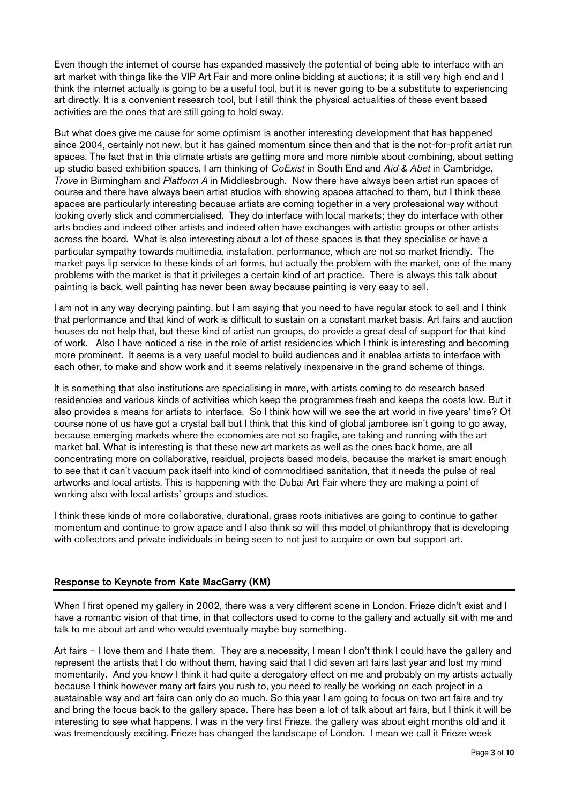Even though the internet of course has expanded massively the potential of being able to interface with an art market with things like the VIP Art Fair and more online bidding at auctions; it is still very high end and I think the internet actually is going to be a useful tool, but it is never going to be a substitute to experiencing art directly. It is a convenient research tool, but I still think the physical actualities of these event based activities are the ones that are still going to hold sway.

But what does give me cause for some optimism is another interesting development that has happened since 2004, certainly not new, but it has gained momentum since then and that is the not-for-profit artist run spaces. The fact that in this climate artists are getting more and more nimble about combining, about setting up studio based exhibition spaces, I am thinking of CoExist in South End and Aid & Abet in Cambridge, Trove in Birmingham and Platform A in Middlesbrough. Now there have always been artist run spaces of course and there have always been artist studios with showing spaces attached to them, but I think these spaces are particularly interesting because artists are coming together in a very professional way without looking overly slick and commercialised. They do interface with local markets; they do interface with other arts bodies and indeed other artists and indeed often have exchanges with artistic groups or other artists across the board. What is also interesting about a lot of these spaces is that they specialise or have a particular sympathy towards multimedia, installation, performance, which are not so market friendly. The market pays lip service to these kinds of art forms, but actually the problem with the market, one of the many problems with the market is that it privileges a certain kind of art practice. There is always this talk about painting is back, well painting has never been away because painting is very easy to sell.

I am not in any way decrying painting, but I am saying that you need to have regular stock to sell and I think that performance and that kind of work is difficult to sustain on a constant market basis. Art fairs and auction houses do not help that, but these kind of artist run groups, do provide a great deal of support for that kind of work. Also I have noticed a rise in the role of artist residencies which I think is interesting and becoming more prominent. It seems is a very useful model to build audiences and it enables artists to interface with each other, to make and show work and it seems relatively inexpensive in the grand scheme of things.

It is something that also institutions are specialising in more, with artists coming to do research based residencies and various kinds of activities which keep the programmes fresh and keeps the costs low. But it also provides a means for artists to interface. So I think how will we see the art world in five years' time? Of course none of us have got a crystal ball but I think that this kind of global jamboree isn't going to go away, because emerging markets where the economies are not so fragile, are taking and running with the art market bal. What is interesting is that these new art markets as well as the ones back home, are all concentrating more on collaborative, residual, projects based models, because the market is smart enough to see that it can't vacuum pack itself into kind of commoditised sanitation, that it needs the pulse of real artworks and local artists. This is happening with the Dubai Art Fair where they are making a point of working also with local artists' groups and studios.

I think these kinds of more collaborative, durational, grass roots initiatives are going to continue to gather momentum and continue to grow apace and I also think so will this model of philanthropy that is developing with collectors and private individuals in being seen to not just to acquire or own but support art.

## Response to Keynote from Kate MacGarry (KM)

When I first opened my gallery in 2002, there was a very different scene in London. Frieze didn't exist and I have a romantic vision of that time, in that collectors used to come to the gallery and actually sit with me and talk to me about art and who would eventually maybe buy something.

Art fairs – I love them and I hate them. They are a necessity, I mean I don't think I could have the gallery and represent the artists that I do without them, having said that I did seven art fairs last year and lost my mind momentarily. And you know I think it had quite a derogatory effect on me and probably on my artists actually because I think however many art fairs you rush to, you need to really be working on each project in a sustainable way and art fairs can only do so much. So this year I am going to focus on two art fairs and try and bring the focus back to the gallery space. There has been a lot of talk about art fairs, but I think it will be interesting to see what happens. I was in the very first Frieze, the gallery was about eight months old and it was tremendously exciting. Frieze has changed the landscape of London. I mean we call it Frieze week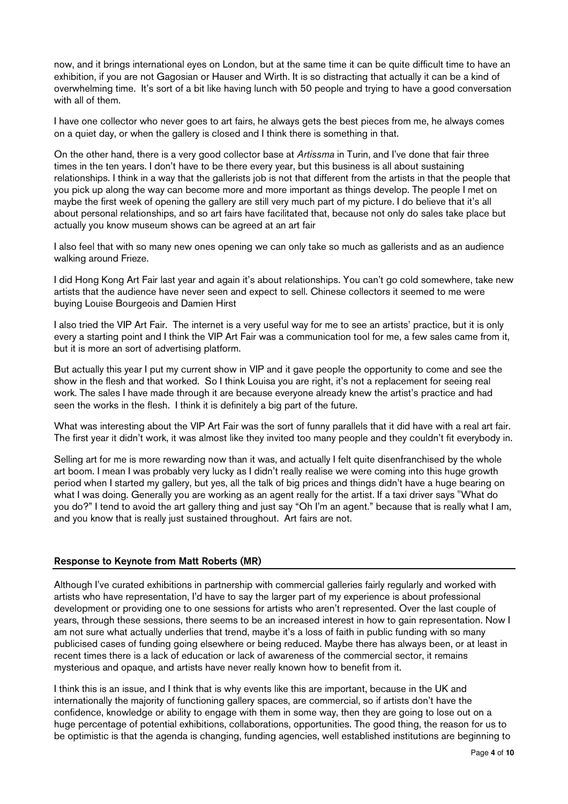now, and it brings international eyes on London, but at the same time it can be quite difficult time to have an exhibition, if you are not Gagosian or Hauser and Wirth. It is so distracting that actually it can be a kind of overwhelming time. It's sort of a bit like having lunch with 50 people and trying to have a good conversation with all of them.

I have one collector who never goes to art fairs, he always gets the best pieces from me, he always comes on a quiet day, or when the gallery is closed and I think there is something in that.

On the other hand, there is a very good collector base at Artissma in Turin, and I've done that fair three times in the ten years. I don't have to be there every year, but this business is all about sustaining relationships. I think in a way that the gallerists job is not that different from the artists in that the people that you pick up along the way can become more and more important as things develop. The people I met on maybe the first week of opening the gallery are still very much part of my picture. I do believe that it's all about personal relationships, and so art fairs have facilitated that, because not only do sales take place but actually you know museum shows can be agreed at an art fair

I also feel that with so many new ones opening we can only take so much as gallerists and as an audience walking around Frieze.

I did Hong Kong Art Fair last year and again it's about relationships. You can't go cold somewhere, take new artists that the audience have never seen and expect to sell. Chinese collectors it seemed to me were buying Louise Bourgeois and Damien Hirst

I also tried the VIP Art Fair. The internet is a very useful way for me to see an artists' practice, but it is only every a starting point and I think the VIP Art Fair was a communication tool for me, a few sales came from it, but it is more an sort of advertising platform.

But actually this year I put my current show in VIP and it gave people the opportunity to come and see the show in the flesh and that worked. So I think Louisa you are right, it's not a replacement for seeing real work. The sales I have made through it are because everyone already knew the artist's practice and had seen the works in the flesh. I think it is definitely a big part of the future.

What was interesting about the VIP Art Fair was the sort of funny parallels that it did have with a real art fair. The first year it didn't work, it was almost like they invited too many people and they couldn't fit everybody in.

Selling art for me is more rewarding now than it was, and actually I felt quite disenfranchised by the whole art boom. I mean I was probably very lucky as I didn't really realise we were coming into this huge growth period when I started my gallery, but yes, all the talk of big prices and things didn't have a huge bearing on what I was doing. Generally you are working as an agent really for the artist. If a taxi driver says "What do you do?" I tend to avoid the art gallery thing and just say "Oh I'm an agent." because that is really what I am, and you know that is really just sustained throughout. Art fairs are not.

#### Response to Keynote from Matt Roberts (MR)

Although I've curated exhibitions in partnership with commercial galleries fairly regularly and worked with artists who have representation, I'd have to say the larger part of my experience is about professional development or providing one to one sessions for artists who aren't represented. Over the last couple of years, through these sessions, there seems to be an increased interest in how to gain representation. Now I am not sure what actually underlies that trend, maybe it's a loss of faith in public funding with so many publicised cases of funding going elsewhere or being reduced. Maybe there has always been, or at least in recent times there is a lack of education or lack of awareness of the commercial sector, it remains mysterious and opaque, and artists have never really known how to benefit from it.

I think this is an issue, and I think that is why events like this are important, because in the UK and internationally the majority of functioning gallery spaces, are commercial, so if artists don't have the confidence, knowledge or ability to engage with them in some way, then they are going to lose out on a huge percentage of potential exhibitions, collaborations, opportunities. The good thing, the reason for us to be optimistic is that the agenda is changing, funding agencies, well established institutions are beginning to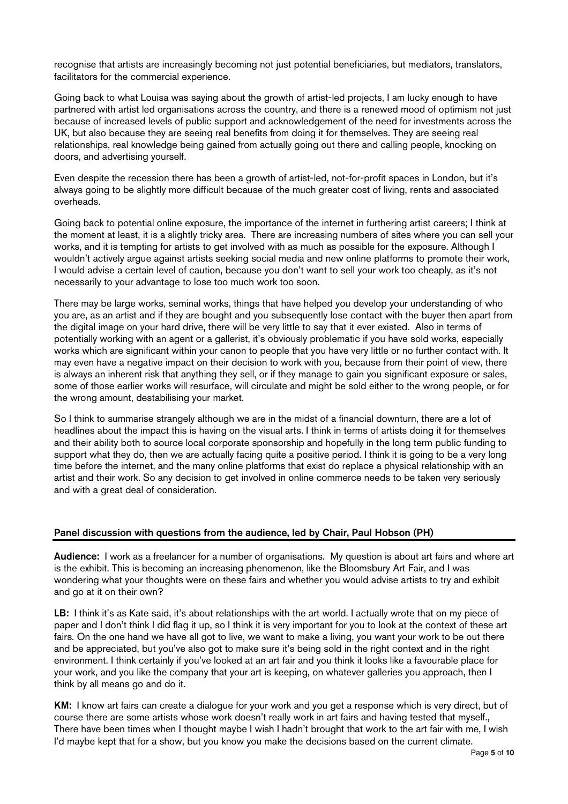recognise that artists are increasingly becoming not just potential beneficiaries, but mediators, translators, facilitators for the commercial experience.

Going back to what Louisa was saying about the growth of artist-led projects, I am lucky enough to have partnered with artist led organisations across the country, and there is a renewed mood of optimism not just because of increased levels of public support and acknowledgement of the need for investments across the UK, but also because they are seeing real benefits from doing it for themselves. They are seeing real relationships, real knowledge being gained from actually going out there and calling people, knocking on doors, and advertising yourself.

Even despite the recession there has been a growth of artist-led, not-for-profit spaces in London, but it's always going to be slightly more difficult because of the much greater cost of living, rents and associated overheads.

Going back to potential online exposure, the importance of the internet in furthering artist careers; I think at the moment at least, it is a slightly tricky area. There are increasing numbers of sites where you can sell your works, and it is tempting for artists to get involved with as much as possible for the exposure. Although I wouldn't actively argue against artists seeking social media and new online platforms to promote their work, I would advise a certain level of caution, because you don't want to sell your work too cheaply, as it's not necessarily to your advantage to lose too much work too soon.

There may be large works, seminal works, things that have helped you develop your understanding of who you are, as an artist and if they are bought and you subsequently lose contact with the buyer then apart from the digital image on your hard drive, there will be very little to say that it ever existed. Also in terms of potentially working with an agent or a gallerist, it's obviously problematic if you have sold works, especially works which are significant within your canon to people that you have very little or no further contact with. It may even have a negative impact on their decision to work with you, because from their point of view, there is always an inherent risk that anything they sell, or if they manage to gain you significant exposure or sales, some of those earlier works will resurface, will circulate and might be sold either to the wrong people, or for the wrong amount, destabilising your market.

So I think to summarise strangely although we are in the midst of a financial downturn, there are a lot of headlines about the impact this is having on the visual arts. I think in terms of artists doing it for themselves and their ability both to source local corporate sponsorship and hopefully in the long term public funding to support what they do, then we are actually facing quite a positive period. I think it is going to be a very long time before the internet, and the many online platforms that exist do replace a physical relationship with an artist and their work. So any decision to get involved in online commerce needs to be taken very seriously and with a great deal of consideration.

## Panel discussion with questions from the audience, led by Chair, Paul Hobson (PH)

Audience: I work as a freelancer for a number of organisations. My question is about art fairs and where art is the exhibit. This is becoming an increasing phenomenon, like the Bloomsbury Art Fair, and I was wondering what your thoughts were on these fairs and whether you would advise artists to try and exhibit and go at it on their own?

LB: I think it's as Kate said, it's about relationships with the art world. I actually wrote that on my piece of paper and I don't think I did flag it up, so I think it is very important for you to look at the context of these art fairs. On the one hand we have all got to live, we want to make a living, you want your work to be out there and be appreciated, but you've also got to make sure it's being sold in the right context and in the right environment. I think certainly if you've looked at an art fair and you think it looks like a favourable place for your work, and you like the company that your art is keeping, on whatever galleries you approach, then I think by all means go and do it.

KM: I know art fairs can create a dialogue for your work and you get a response which is very direct, but of course there are some artists whose work doesn't really work in art fairs and having tested that myself., There have been times when I thought maybe I wish I hadn't brought that work to the art fair with me, I wish I'd maybe kept that for a show, but you know you make the decisions based on the current climate.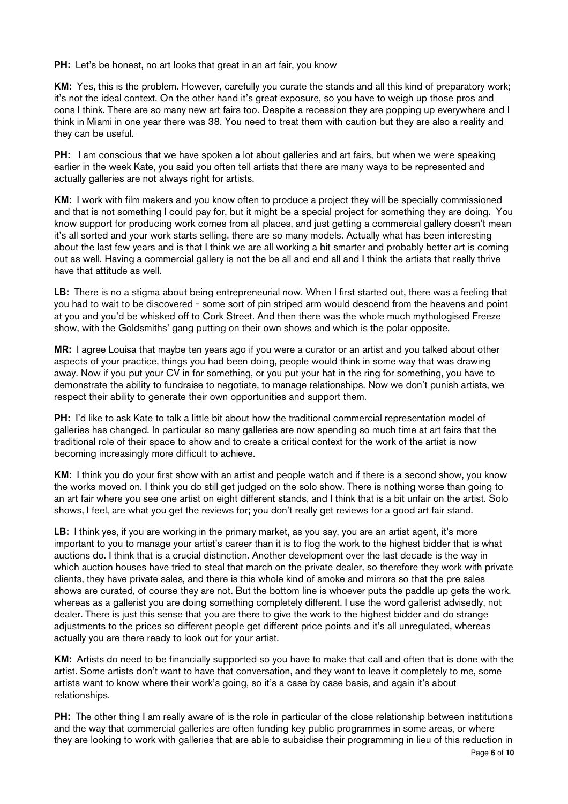PH: Let's be honest, no art looks that great in an art fair, you know

KM: Yes, this is the problem. However, carefully you curate the stands and all this kind of preparatory work; it's not the ideal context. On the other hand it's great exposure, so you have to weigh up those pros and cons I think. There are so many new art fairs too. Despite a recession they are popping up everywhere and I think in Miami in one year there was 38. You need to treat them with caution but they are also a reality and they can be useful.

PH: I am conscious that we have spoken a lot about galleries and art fairs, but when we were speaking earlier in the week Kate, you said you often tell artists that there are many ways to be represented and actually galleries are not always right for artists.

KM: I work with film makers and you know often to produce a project they will be specially commissioned and that is not something I could pay for, but it might be a special project for something they are doing. You know support for producing work comes from all places, and just getting a commercial gallery doesn't mean it's all sorted and your work starts selling, there are so many models. Actually what has been interesting about the last few years and is that I think we are all working a bit smarter and probably better art is coming out as well. Having a commercial gallery is not the be all and end all and I think the artists that really thrive have that attitude as well.

LB: There is no a stigma about being entrepreneurial now. When I first started out, there was a feeling that you had to wait to be discovered - some sort of pin striped arm would descend from the heavens and point at you and you'd be whisked off to Cork Street. And then there was the whole much mythologised Freeze show, with the Goldsmiths' gang putting on their own shows and which is the polar opposite.

MR: I agree Louisa that maybe ten years ago if you were a curator or an artist and you talked about other aspects of your practice, things you had been doing, people would think in some way that was drawing away. Now if you put your CV in for something, or you put your hat in the ring for something, you have to demonstrate the ability to fundraise to negotiate, to manage relationships. Now we don't punish artists, we respect their ability to generate their own opportunities and support them.

PH: I'd like to ask Kate to talk a little bit about how the traditional commercial representation model of galleries has changed. In particular so many galleries are now spending so much time at art fairs that the traditional role of their space to show and to create a critical context for the work of the artist is now becoming increasingly more difficult to achieve.

KM: I think you do your first show with an artist and people watch and if there is a second show, you know the works moved on. I think you do still get judged on the solo show. There is nothing worse than going to an art fair where you see one artist on eight different stands, and I think that is a bit unfair on the artist. Solo shows, I feel, are what you get the reviews for; you don't really get reviews for a good art fair stand.

LB: I think yes, if you are working in the primary market, as you say, you are an artist agent, it's more important to you to manage your artist's career than it is to flog the work to the highest bidder that is what auctions do. I think that is a crucial distinction. Another development over the last decade is the way in which auction houses have tried to steal that march on the private dealer, so therefore they work with private clients, they have private sales, and there is this whole kind of smoke and mirrors so that the pre sales shows are curated, of course they are not. But the bottom line is whoever puts the paddle up gets the work, whereas as a gallerist you are doing something completely different. I use the word gallerist advisedly, not dealer. There is just this sense that you are there to give the work to the highest bidder and do strange adjustments to the prices so different people get different price points and it's all unregulated, whereas actually you are there ready to look out for your artist.

KM: Artists do need to be financially supported so you have to make that call and often that is done with the artist. Some artists don't want to have that conversation, and they want to leave it completely to me, some artists want to know where their work's going, so it's a case by case basis, and again it's about relationships.

PH: The other thing I am really aware of is the role in particular of the close relationship between institutions and the way that commercial galleries are often funding key public programmes in some areas, or where they are looking to work with galleries that are able to subsidise their programming in lieu of this reduction in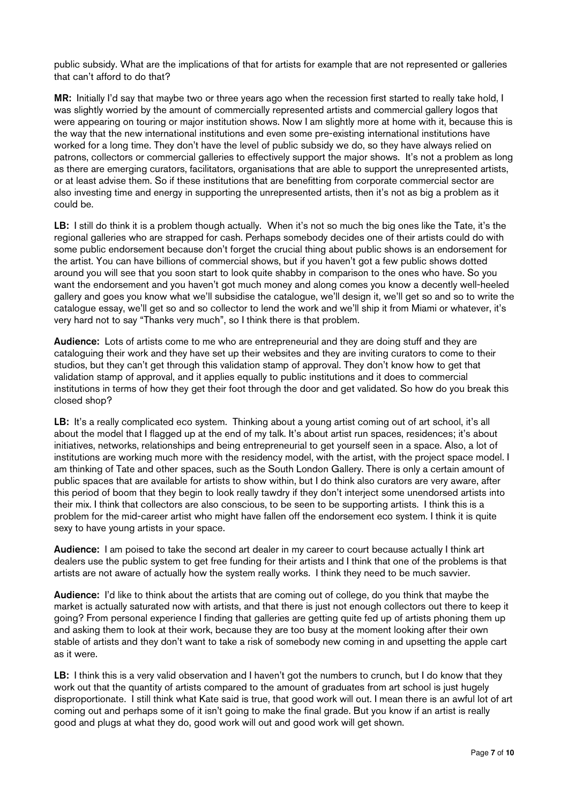public subsidy. What are the implications of that for artists for example that are not represented or galleries that can't afford to do that?

MR: Initially I'd say that maybe two or three years ago when the recession first started to really take hold, I was slightly worried by the amount of commercially represented artists and commercial gallery logos that were appearing on touring or major institution shows. Now I am slightly more at home with it, because this is the way that the new international institutions and even some pre-existing international institutions have worked for a long time. They don't have the level of public subsidy we do, so they have always relied on patrons, collectors or commercial galleries to effectively support the major shows. It's not a problem as long as there are emerging curators, facilitators, organisations that are able to support the unrepresented artists, or at least advise them. So if these institutions that are benefitting from corporate commercial sector are also investing time and energy in supporting the unrepresented artists, then it's not as big a problem as it could be.

LB: I still do think it is a problem though actually. When it's not so much the big ones like the Tate, it's the regional galleries who are strapped for cash. Perhaps somebody decides one of their artists could do with some public endorsement because don't forget the crucial thing about public shows is an endorsement for the artist. You can have billions of commercial shows, but if you haven't got a few public shows dotted around you will see that you soon start to look quite shabby in comparison to the ones who have. So you want the endorsement and you haven't got much money and along comes you know a decently well-heeled gallery and goes you know what we'll subsidise the catalogue, we'll design it, we'll get so and so to write the catalogue essay, we'll get so and so collector to lend the work and we'll ship it from Miami or whatever, it's very hard not to say "Thanks very much", so I think there is that problem.

Audience: Lots of artists come to me who are entrepreneurial and they are doing stuff and they are cataloguing their work and they have set up their websites and they are inviting curators to come to their studios, but they can't get through this validation stamp of approval. They don't know how to get that validation stamp of approval, and it applies equally to public institutions and it does to commercial institutions in terms of how they get their foot through the door and get validated. So how do you break this closed shop?

LB: It's a really complicated eco system. Thinking about a young artist coming out of art school, it's all about the model that I flagged up at the end of my talk. It's about artist run spaces, residences; it's about initiatives, networks, relationships and being entrepreneurial to get yourself seen in a space. Also, a lot of institutions are working much more with the residency model, with the artist, with the project space model. I am thinking of Tate and other spaces, such as the South London Gallery. There is only a certain amount of public spaces that are available for artists to show within, but I do think also curators are very aware, after this period of boom that they begin to look really tawdry if they don't interject some unendorsed artists into their mix. I think that collectors are also conscious, to be seen to be supporting artists. I think this is a problem for the mid-career artist who might have fallen off the endorsement eco system. I think it is quite sexy to have young artists in your space.

Audience: I am poised to take the second art dealer in my career to court because actually I think art dealers use the public system to get free funding for their artists and I think that one of the problems is that artists are not aware of actually how the system really works. I think they need to be much savvier.

Audience: I'd like to think about the artists that are coming out of college, do you think that maybe the market is actually saturated now with artists, and that there is just not enough collectors out there to keep it going? From personal experience I finding that galleries are getting quite fed up of artists phoning them up and asking them to look at their work, because they are too busy at the moment looking after their own stable of artists and they don't want to take a risk of somebody new coming in and upsetting the apple cart as it were.

LB: I think this is a very valid observation and I haven't got the numbers to crunch, but I do know that they work out that the quantity of artists compared to the amount of graduates from art school is just hugely disproportionate. I still think what Kate said is true, that good work will out. I mean there is an awful lot of art coming out and perhaps some of it isn't going to make the final grade. But you know if an artist is really good and plugs at what they do, good work will out and good work will get shown.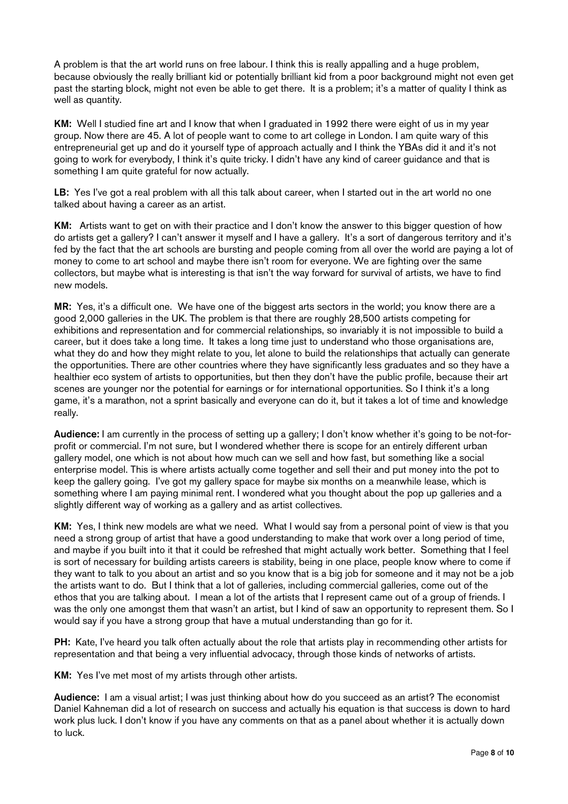A problem is that the art world runs on free labour. I think this is really appalling and a huge problem, because obviously the really brilliant kid or potentially brilliant kid from a poor background might not even get past the starting block, might not even be able to get there. It is a problem; it's a matter of quality I think as well as quantity.

KM: Well I studied fine art and I know that when I graduated in 1992 there were eight of us in my year group. Now there are 45. A lot of people want to come to art college in London. I am quite wary of this entrepreneurial get up and do it yourself type of approach actually and I think the YBAs did it and it's not going to work for everybody, I think it's quite tricky. I didn't have any kind of career guidance and that is something I am quite grateful for now actually.

LB: Yes I've got a real problem with all this talk about career, when I started out in the art world no one talked about having a career as an artist.

KM: Artists want to get on with their practice and I don't know the answer to this bigger question of how do artists get a gallery? I can't answer it myself and I have a gallery. It's a sort of dangerous territory and it's fed by the fact that the art schools are bursting and people coming from all over the world are paying a lot of money to come to art school and maybe there isn't room for everyone. We are fighting over the same collectors, but maybe what is interesting is that isn't the way forward for survival of artists, we have to find new models.

MR: Yes, it's a difficult one. We have one of the biggest arts sectors in the world; you know there are a good 2,000 galleries in the UK. The problem is that there are roughly 28,500 artists competing for exhibitions and representation and for commercial relationships, so invariably it is not impossible to build a career, but it does take a long time. It takes a long time just to understand who those organisations are, what they do and how they might relate to you, let alone to build the relationships that actually can generate the opportunities. There are other countries where they have significantly less graduates and so they have a healthier eco system of artists to opportunities, but then they don't have the public profile, because their art scenes are younger nor the potential for earnings or for international opportunities. So I think it's a long game, it's a marathon, not a sprint basically and everyone can do it, but it takes a lot of time and knowledge really.

Audience: I am currently in the process of setting up a gallery; I don't know whether it's going to be not-forprofit or commercial. I'm not sure, but I wondered whether there is scope for an entirely different urban gallery model, one which is not about how much can we sell and how fast, but something like a social enterprise model. This is where artists actually come together and sell their and put money into the pot to keep the gallery going. I've got my gallery space for maybe six months on a meanwhile lease, which is something where I am paying minimal rent. I wondered what you thought about the pop up galleries and a slightly different way of working as a gallery and as artist collectives.

KM: Yes, I think new models are what we need. What I would say from a personal point of view is that you need a strong group of artist that have a good understanding to make that work over a long period of time, and maybe if you built into it that it could be refreshed that might actually work better. Something that I feel is sort of necessary for building artists careers is stability, being in one place, people know where to come if they want to talk to you about an artist and so you know that is a big job for someone and it may not be a job the artists want to do. But I think that a lot of galleries, including commercial galleries, come out of the ethos that you are talking about. I mean a lot of the artists that I represent came out of a group of friends. I was the only one amongst them that wasn't an artist, but I kind of saw an opportunity to represent them. So I would say if you have a strong group that have a mutual understanding than go for it.

PH: Kate, I've heard you talk often actually about the role that artists play in recommending other artists for representation and that being a very influential advocacy, through those kinds of networks of artists.

KM: Yes I've met most of my artists through other artists.

Audience: I am a visual artist; I was just thinking about how do you succeed as an artist? The economist Daniel Kahneman did a lot of research on success and actually his equation is that success is down to hard work plus luck. I don't know if you have any comments on that as a panel about whether it is actually down to luck.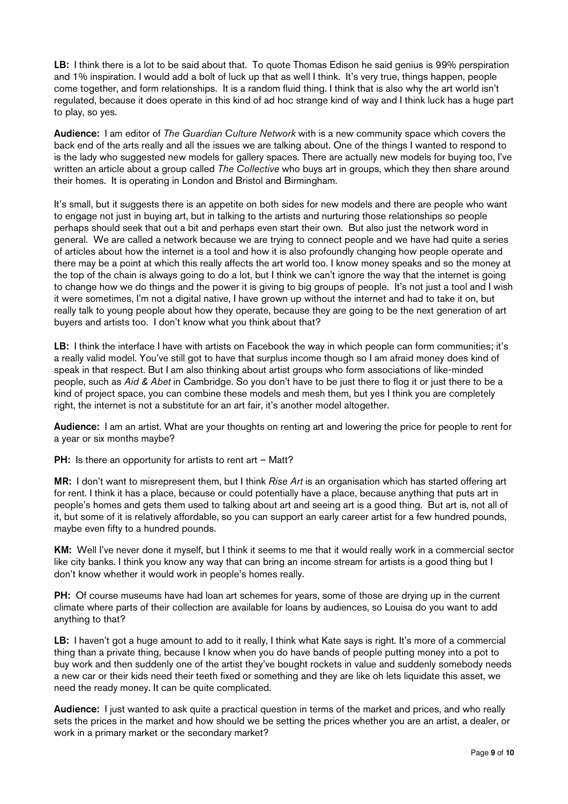LB: I think there is a lot to be said about that. To quote Thomas Edison he said genius is 99% perspiration and 1% inspiration. I would add a bolt of luck up that as well I think. It's very true, things happen, people come together, and form relationships. It is a random fluid thing. I think that is also why the art world isn't regulated, because it does operate in this kind of ad hoc strange kind of way and I think luck has a huge part to play, so yes.

Audience: I am editor of *The Guardian Culture Network* with is a new community space which covers the back end of the arts really and all the issues we are talking about. One of the things I wanted to respond to is the lady who suggested new models for gallery spaces. There are actually new models for buying too, I've written an article about a group called *The Collective* who buys art in groups, which they then share around their homes. It is operating in London and Bristol and Birmingham.

It's small, but it suggests there is an appetite on both sides for new models and there are people who want to engage not just in buying art, but in talking to the artists and nurturing those relationships so people perhaps should seek that out a bit and perhaps even start their own. But also just the network word in general. We are called a network because we are trying to connect people and we have had quite a series of articles about how the internet is a tool and how it is also profoundly changing how people operate and there may be a point at which this really affects the art world too. I know money speaks and so the money at the top of the chain is always going to do a lot, but I think we can't ignore the way that the internet is going to change how we do things and the power it is giving to big groups of people. It's not just a tool and I wish it were sometimes, I'm not a digital native, I have grown up without the internet and had to take it on, but really talk to young people about how they operate, because they are going to be the next generation of art buyers and artists too. I don't know what you think about that?

LB: I think the interface I have with artists on Facebook the way in which people can form communities; it's a really valid model. You've still got to have that surplus income though so I am afraid money does kind of speak in that respect. But I am also thinking about artist groups who form associations of like-minded people, such as Aid & Abet in Cambridge. So you don't have to be just there to flog it or just there to be a kind of project space, you can combine these models and mesh them, but yes I think you are completely right, the internet is not a substitute for an art fair, it's another model altogether.

Audience: I am an artist. What are your thoughts on renting art and lowering the price for people to rent for a year or six months maybe?

PH: Is there an opportunity for artists to rent art – Matt?

MR: I don't want to misrepresent them, but I think Rise Art is an organisation which has started offering art for rent. I think it has a place, because or could potentially have a place, because anything that puts art in people's homes and gets them used to talking about art and seeing art is a good thing. But art is, not all of it, but some of it is relatively affordable, so you can support an early career artist for a few hundred pounds, maybe even fifty to a hundred pounds.

KM: Well I've never done it myself, but I think it seems to me that it would really work in a commercial sector like city banks. I think you know any way that can bring an income stream for artists is a good thing but I don't know whether it would work in people's homes really.

PH: Of course museums have had loan art schemes for years, some of those are drying up in the current climate where parts of their collection are available for loans by audiences, so Louisa do you want to add anything to that?

LB: I haven't got a huge amount to add to it really. I think what Kate says is right. It's more of a commercial thing than a private thing, because I know when you do have bands of people putting money into a pot to buy work and then suddenly one of the artist they've bought rockets in value and suddenly somebody needs a new car or their kids need their teeth fixed or something and they are like oh lets liquidate this asset, we need the ready money. It can be quite complicated.

Audience: I just wanted to ask quite a practical question in terms of the market and prices, and who really sets the prices in the market and how should we be setting the prices whether you are an artist, a dealer, or work in a primary market or the secondary market?